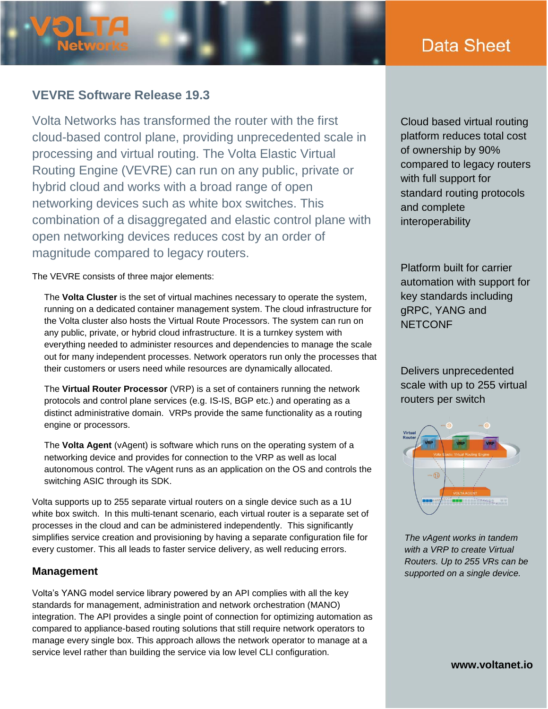# Data Sheet

# **VEVRE Software Release 19.3**

**Networ** 

Volta Networks has transformed the router with the first cloud-based control plane, providing unprecedented scale in processing and virtual routing. The Volta Elastic Virtual Routing Engine (VEVRE) can run on any public, private or hybrid cloud and works with a broad range of open networking devices such as white box switches. This combination of a disaggregated and elastic control plane with open networking devices reduces cost by an order of magnitude compared to legacy routers.

The VEVRE consists of three major elements:

The **Volta Cluster** is the set of virtual machines necessary to operate the system, running on a dedicated container management system. The cloud infrastructure for the Volta cluster also hosts the Virtual Route Processors. The system can run on any public, private, or hybrid cloud infrastructure. It is a turnkey system with everything needed to administer resources and dependencies to manage the scale out for many independent processes. Network operators run only the processes that their customers or users need while resources are dynamically allocated.

The **Virtual Router Processor** (VRP) is a set of containers running the network protocols and control plane services (e.g. IS-IS, BGP etc.) and operating as a distinct administrative domain. VRPs provide the same functionality as a routing engine or processors.

The **Volta Agent** (vAgent) is software which runs on the operating system of a networking device and provides for connection to the VRP as well as local autonomous control. The vAgent runs as an application on the OS and controls the switching ASIC through its SDK.

Volta supports up to 255 separate virtual routers on a single device such as a 1U white box switch. In this multi-tenant scenario, each virtual router is a separate set of processes in the cloud and can be administered independently. This significantly simplifies service creation and provisioning by having a separate configuration file for every customer. This all leads to faster service delivery, as well reducing errors.

#### **Management**

Volta's YANG model service library powered by an API complies with all the key standards for management, administration and network orchestration (MANO) integration. The API provides a single point of connection for optimizing automation as compared to appliance-based routing solutions that still require network operators to manage every single box. This approach allows the network operator to manage at a service level rather than building the service via low level CLI configuration.

Cloud based virtual routing platform reduces total cost of ownership by 90% compared to legacy routers with full support for standard routing protocols and complete interoperability

Platform built for carrier automation with support for key standards including gRPC, YANG and **NETCONF** 

Delivers unprecedented scale with up to 255 virtual routers per switch



*The vAgent works in tandem with a VRP to create Virtual Routers. Up to 255 VRs can be supported on a single device.*

**www.voltanet.io**